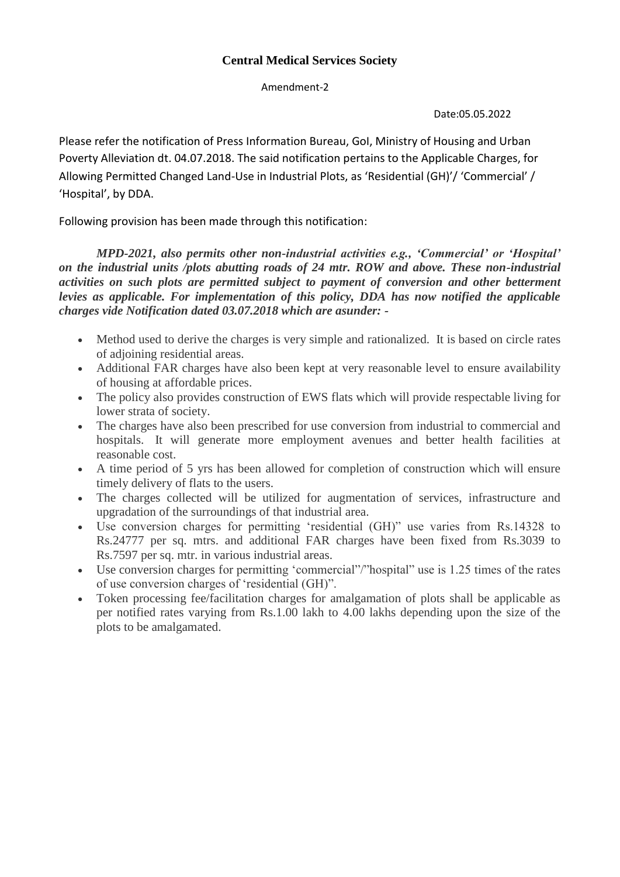## **Central Medical Services Society**

Amendment-2

Date:05.05.2022

Please refer the notification of Press Information Bureau, GoI, Ministry of Housing and Urban Poverty Alleviation dt. 04.07.2018. The said notification pertains to the Applicable Charges, for Allowing Permitted Changed Land-Use in Industrial Plots, as 'Residential (GH)'/ 'Commercial' / 'Hospital', by DDA.

Following provision has been made through this notification:

 *MPD-2021, also permits other non-industrial activities e.g., 'Commercial' or 'Hospital' on the industrial units /plots abutting roads of 24 mtr. ROW and above. These non-industrial activities on such plots are permitted subject to payment of conversion and other betterment levies as applicable. For implementation of this policy, DDA has now notified the applicable charges vide Notification dated 03.07.2018 which are asunder: -*

- Method used to derive the charges is very simple and rationalized. It is based on circle rates of adjoining residential areas.
- Additional FAR charges have also been kept at very reasonable level to ensure availability of housing at affordable prices.
- The policy also provides construction of EWS flats which will provide respectable living for lower strata of society.
- The charges have also been prescribed for use conversion from industrial to commercial and hospitals. It will generate more employment avenues and better health facilities at reasonable cost.
- A time period of 5 yrs has been allowed for completion of construction which will ensure timely delivery of flats to the users.
- The charges collected will be utilized for augmentation of services, infrastructure and upgradation of the surroundings of that industrial area.
- Use conversion charges for permitting 'residential (GH)" use varies from Rs.14328 to Rs.24777 per sq. mtrs. and additional FAR charges have been fixed from Rs.3039 to Rs.7597 per sq. mtr. in various industrial areas.
- Use conversion charges for permitting 'commercial"/"hospital" use is 1.25 times of the rates of use conversion charges of 'residential (GH)".
- Token processing fee/facilitation charges for amalgamation of plots shall be applicable as per notified rates varying from Rs.1.00 lakh to 4.00 lakhs depending upon the size of the plots to be amalgamated.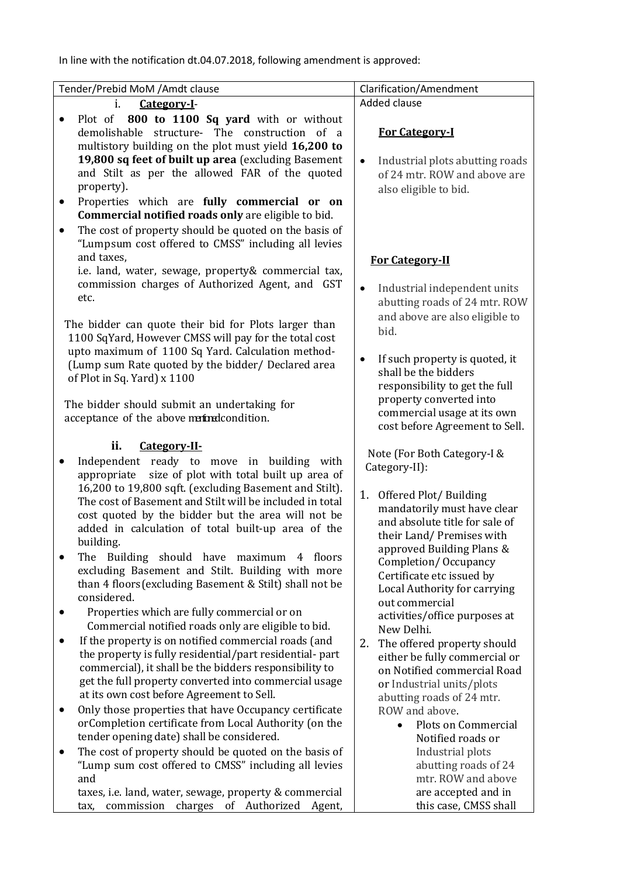In line with the notification dt.04.07.2018, following amendment is approved:

| Added clause<br>i.<br>Category-I-<br>Plot of 800 to 1100 Sq yard with or without<br><b>For Category-I</b><br>demolishable structure- The construction of a<br>multistory building on the plot must yield 16,200 to<br>19,800 sq feet of built up area (excluding Basement<br>Industrial plots abutting roads<br>$\bullet$<br>and Stilt as per the allowed FAR of the quoted<br>of 24 mtr. ROW and above are<br>property).<br>also eligible to bid.<br>Properties which are fully commercial or on<br>$\bullet$<br>Commercial notified roads only are eligible to bid.<br>The cost of property should be quoted on the basis of<br>$\bullet$<br>"Lumpsum cost offered to CMSS" including all levies<br>and taxes,<br><b>For Category-II</b><br>i.e. land, water, sewage, property& commercial tax,<br>commission charges of Authorized Agent, and GST<br>Industrial independent units<br>$\bullet$<br>etc.<br>abutting roads of 24 mtr. ROW<br>and above are also eligible to<br>The bidder can quote their bid for Plots larger than<br>bid.<br>1100 SqYard, However CMSS will pay for the total cost<br>upto maximum of 1100 Sq Yard. Calculation method-<br>If such property is quoted, it<br>$\bullet$<br>(Lump sum Rate quoted by the bidder/ Declared area<br>shall be the bidders<br>of Plot in Sq. Yard) x 1100<br>responsibility to get the full<br>property converted into<br>The bidder should submit an undertaking for<br>commercial usage at its own<br>acceptance of the above matrix condition.<br>cost before Agreement to Sell.<br>ii.<br>Category-II-<br>Note (For Both Category-I &<br>Independent ready to move in building with<br>Category-II):<br>appropriate size of plot with total built up area of                                                                                                                                            |
|--------------------------------------------------------------------------------------------------------------------------------------------------------------------------------------------------------------------------------------------------------------------------------------------------------------------------------------------------------------------------------------------------------------------------------------------------------------------------------------------------------------------------------------------------------------------------------------------------------------------------------------------------------------------------------------------------------------------------------------------------------------------------------------------------------------------------------------------------------------------------------------------------------------------------------------------------------------------------------------------------------------------------------------------------------------------------------------------------------------------------------------------------------------------------------------------------------------------------------------------------------------------------------------------------------------------------------------------------------------------------------------------------------------------------------------------------------------------------------------------------------------------------------------------------------------------------------------------------------------------------------------------------------------------------------------------------------------------------------------------------------------------------------------------------------------------------------------------------------------------------|
|                                                                                                                                                                                                                                                                                                                                                                                                                                                                                                                                                                                                                                                                                                                                                                                                                                                                                                                                                                                                                                                                                                                                                                                                                                                                                                                                                                                                                                                                                                                                                                                                                                                                                                                                                                                                                                                                          |
|                                                                                                                                                                                                                                                                                                                                                                                                                                                                                                                                                                                                                                                                                                                                                                                                                                                                                                                                                                                                                                                                                                                                                                                                                                                                                                                                                                                                                                                                                                                                                                                                                                                                                                                                                                                                                                                                          |
|                                                                                                                                                                                                                                                                                                                                                                                                                                                                                                                                                                                                                                                                                                                                                                                                                                                                                                                                                                                                                                                                                                                                                                                                                                                                                                                                                                                                                                                                                                                                                                                                                                                                                                                                                                                                                                                                          |
|                                                                                                                                                                                                                                                                                                                                                                                                                                                                                                                                                                                                                                                                                                                                                                                                                                                                                                                                                                                                                                                                                                                                                                                                                                                                                                                                                                                                                                                                                                                                                                                                                                                                                                                                                                                                                                                                          |
| 16,200 to 19,800 sqft. (excluding Basement and Stilt).<br>1. Offered Plot/Building<br>The cost of Basement and Stilt will be included in total<br>mandatorily must have clear<br>cost quoted by the bidder but the area will not be<br>and absolute title for sale of<br>added in calculation of total built-up area of the<br>their Land/Premises with<br>building.<br>approved Building Plans &<br>The Building should have maximum 4 floors<br>$\bullet$<br>Completion/Occupancy<br>excluding Basement and Stilt. Building with more<br>Certificate etc issued by<br>than 4 floors (excluding Basement & Stilt) shall not be<br>Local Authority for carrying<br>considered.<br>out commercial<br>Properties which are fully commercial or on<br>$\bullet$<br>activities/office purposes at<br>Commercial notified roads only are eligible to bid.<br>New Delhi.<br>If the property is on notified commercial roads (and<br>٠<br>The offered property should<br>2.<br>the property is fully residential/part residential-part<br>either be fully commercial or<br>commercial), it shall be the bidders responsibility to<br>on Notified commercial Road<br>get the full property converted into commercial usage<br>or Industrial units/plots<br>at its own cost before Agreement to Sell.<br>abutting roads of 24 mtr.<br>Only those properties that have Occupancy certificate<br>ROW and above.<br>$\bullet$<br>orCompletion certificate from Local Authority (on the<br>Plots on Commercial<br>$\bullet$<br>tender opening date) shall be considered.<br>Notified roads or<br>The cost of property should be quoted on the basis of<br>Industrial plots<br>$\bullet$<br>"Lump sum cost offered to CMSS" including all levies<br>abutting roads of 24<br>mtr. ROW and above<br>and<br>are accepted and in<br>taxes, i.e. land, water, sewage, property & commercial |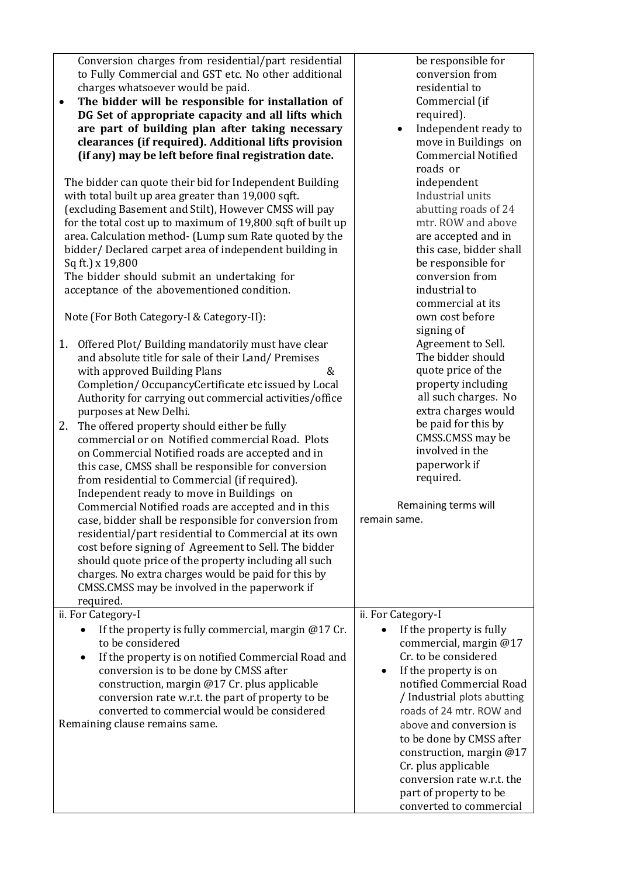| Conversion charges from residential/part residential<br>to Fully Commercial and GST etc. No other additional<br>charges whatsoever would be paid.<br>The bidder will be responsible for installation of<br>$\bullet$<br>DG Set of appropriate capacity and all lifts which<br>are part of building plan after taking necessary<br>clearances (if required). Additional lifts provision<br>(if any) may be left before final registration date.<br>The bidder can quote their bid for Independent Building<br>with total built up area greater than 19,000 sqft.<br>(excluding Basement and Stilt), However CMSS will pay<br>for the total cost up to maximum of 19,800 sqft of built up<br>area. Calculation method- (Lump sum Rate quoted by the<br>bidder/Declared carpet area of independent building in<br>Sq ft.) x 19,800<br>The bidder should submit an undertaking for<br>acceptance of the abovementioned condition.                                                                                                   | be responsible for<br>conversion from<br>residential to<br>Commercial (if<br>required).<br>Independent ready to<br>$\bullet$<br>move in Buildings on<br><b>Commercial Notified</b><br>roads or<br>independent<br>Industrial units<br>abutting roads of 24<br>mtr. ROW and above<br>are accepted and in<br>this case, bidder shall<br>be responsible for<br>conversion from<br>industrial to                        |
|---------------------------------------------------------------------------------------------------------------------------------------------------------------------------------------------------------------------------------------------------------------------------------------------------------------------------------------------------------------------------------------------------------------------------------------------------------------------------------------------------------------------------------------------------------------------------------------------------------------------------------------------------------------------------------------------------------------------------------------------------------------------------------------------------------------------------------------------------------------------------------------------------------------------------------------------------------------------------------------------------------------------------------|--------------------------------------------------------------------------------------------------------------------------------------------------------------------------------------------------------------------------------------------------------------------------------------------------------------------------------------------------------------------------------------------------------------------|
| Note (For Both Category-I & Category-II):                                                                                                                                                                                                                                                                                                                                                                                                                                                                                                                                                                                                                                                                                                                                                                                                                                                                                                                                                                                       | commercial at its<br>own cost before<br>signing of                                                                                                                                                                                                                                                                                                                                                                 |
| 1.<br>Offered Plot/Building mandatorily must have clear<br>and absolute title for sale of their Land/ Premises<br>&<br>with approved Building Plans<br>Completion/OccupancyCertificate etc issued by Local<br>Authority for carrying out commercial activities/office<br>purposes at New Delhi.<br>2.<br>The offered property should either be fully<br>commercial or on Notified commercial Road. Plots<br>on Commercial Notified roads are accepted and in<br>this case, CMSS shall be responsible for conversion<br>from residential to Commercial (if required).<br>Independent ready to move in Buildings on<br>Commercial Notified roads are accepted and in this<br>case, bidder shall be responsible for conversion from<br>residential/part residential to Commercial at its own<br>cost before signing of Agreement to Sell. The bidder<br>should quote price of the property including all such<br>charges. No extra charges would be paid for this by<br>CMSS.CMSS may be involved in the paperwork if<br>required. | Agreement to Sell.<br>The bidder should<br>quote price of the<br>property including<br>all such charges. No<br>extra charges would<br>be paid for this by<br>CMSS.CMSS may be<br>involved in the<br>paperwork if<br>required.<br>Remaining terms will<br>remain same.                                                                                                                                              |
| ii. For Category-I<br>If the property is fully commercial, margin $@17$ Cr.<br>$\bullet$<br>to be considered<br>If the property is on notified Commercial Road and<br>$\bullet$<br>conversion is to be done by CMSS after<br>construction, margin @17 Cr. plus applicable<br>conversion rate w.r.t. the part of property to be<br>converted to commercial would be considered<br>Remaining clause remains same.                                                                                                                                                                                                                                                                                                                                                                                                                                                                                                                                                                                                                 | ii. For Category-I<br>If the property is fully<br>commercial, margin @17<br>Cr. to be considered<br>If the property is on<br>٠<br>notified Commercial Road<br>/ Industrial plots abutting<br>roads of 24 mtr. ROW and<br>above and conversion is<br>to be done by CMSS after<br>construction, margin @17<br>Cr. plus applicable<br>conversion rate w.r.t. the<br>part of property to be<br>converted to commercial |